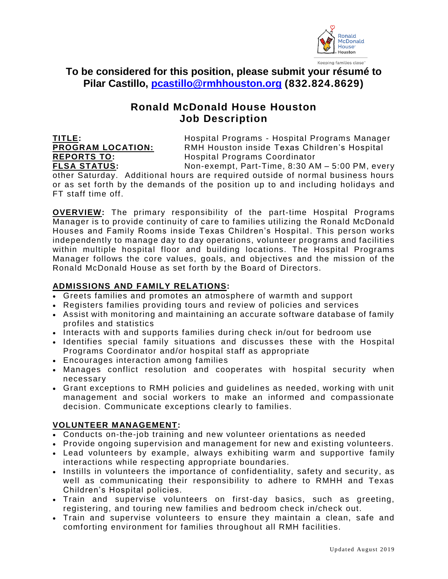

**To be considered for this position, please submit your résumé to Pilar Castillo, [pcastillo@rmhhouston.org](mailto:pcastillo@rmhhouston.org) (832.824.8629)**

# **Ronald McDonald House Houston Job Description**

**TITLE:** Hospital Programs - Hospital Programs Manager **PROGRAM LOCATION:** RMH Houston inside Texas Children's Hospital **REPORTS TO:** Hospital Programs Coordinator

**FLSA STATUS:** Non-exempt, Part-Time, 8:30 AM – 5:00 PM, every other Saturday. Additional hours are required outside of normal business hours or as set forth by the demands of the position up to and including holidays and FT staff time off.

**OVERVIEW:** The primary responsibility of the part-time Hospital Programs Manager is to provide continuity of care to families utilizing the Ronald McDonald Houses and Family Rooms inside Texas Children's Hospital . This person works independently to manage day to day operations, volunteer programs and facilities within multiple hospital floor and building locations. The Hospital Programs Manager follows the core values, goals, and objectives and the mission of the Ronald McDonald House as set forth by the Board of Directors.

# **ADMISSIONS AND FAMILY RELATIONS:**

- Greets families and promotes an atmosphere of warmth and support
- Registers families providing tours and review of policies and services
- Assist with monitoring and maintaining an accurate software database of family profiles and statistics
- Interacts with and supports families during check in/out for bedroom use
- Identifies special family situations and discusses these with the Hospital Programs Coordinator and/or hospital staff as appropriate
- Encourages interaction among families
- Manages conflict resolution and cooperates with hospital security when necessary
- Grant exceptions to RMH policies and guidelines as needed, working with unit management and social workers to make an informed and compassionate decision. Communicate exceptions clearly to families.

# **VOLUNTEER MANAGEMENT:**

- Conducts on-the-job training and new volunteer orientations as needed
- Provide ongoing supervision and management for new and existing volunteers.
- Lead volunteers by example, always exhibiting warm and supportive family interactions while respecting appropriate boundaries.
- Instills in volunteers the importance of confidentiality, safety and security, as well as communicating their responsibility to adhere to RMHH and Texas Children's Hospital policies.
- Train and supervise volunteers on first-day basics, such as greeting, registering, and touring new families and bedroom check in/check out.
- Train and supervise volunteers to ensure they maintain a clean, safe and comforting environment for families throughout all RMH facilities.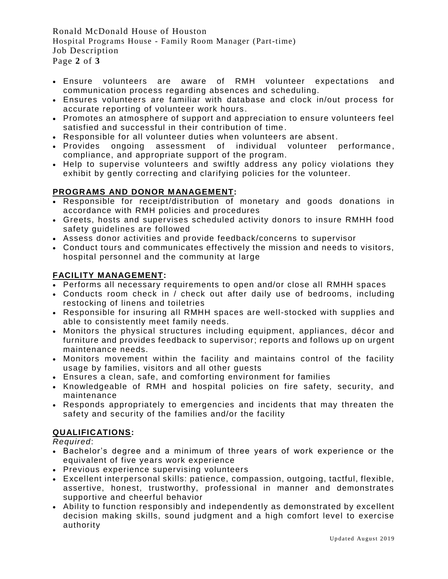Ronald McDonald House of Houston Hospital Programs House - Family Room Manager (Part-time) Job Description Page **2** of **3**

- Ensure volunteers are aware of RMH volunteer expectations and communication process regarding absences and scheduling.
- Ensures volunteers are familiar with database and clock in/out process for accurate reporting of volunteer work hours .
- Promotes an atmosphere of support and appreciation to ensure volunteers feel satisfied and successful in their contribution of time .
- Responsible for all volunteer duties when volunteers are absent.
- Provides ongoing assessment of individual volunteer performance, compliance, and appropriate support of the program.
- Help to supervise volunteers and swiftly address any policy violations they exhibit by gently correcting and clarifying policies for the volunteer.

# **PROGRAMS AND DONOR MANAGEMENT:**

- Responsible for receipt/distribution of monetary and goods donations in accordance with RMH policies and procedures
- Greets, hosts and supervises scheduled activity donors to insure RMHH food safety guidelines are followed
- Assess donor activities and provide feedback/concerns to supervisor
- Conduct tours and communicates effectively the mission and needs to visitors, hospital personnel and the community at large

## **FACILITY MANAGEMENT:**

- Performs all necessary requirements to open and/or close all RMHH spaces
- Conducts room check in / check out after daily use of bedrooms, including restocking of linens and toiletries
- Responsible for insuring all RMHH spaces are well-stocked with supplies and able to consistently meet family needs.
- Monitors the physical structures including equipment, appliances, décor and furniture and provides feedback to supervisor; reports and follows up on urgent maintenance needs.
- Monitors movement within the facility and maintains control of the facility usage by families, visitors and all other guests
- Ensures a clean, safe, and comforting environment for families
- Knowledgeable of RMH and hospital policies on fire safety, security, and maintenance
- Responds appropriately to emergencies and incidents that may threaten the safety and security of the families and/or the facility

### **QUALIFICATIONS:**

*Required*:

- Bachelor's degree and a minimum of three years of work experience or the equivalent of five years work experience
- Previous experience supervising volunteers
- Excellent interpersonal skills: patience, compassion, outgoing, tactful, flexible, assertive, honest, trustworthy, professional in manner and demonstrates supportive and cheerful behavior
- Ability to function responsibly and independently as demonstrated by excellent decision making skills, sound judgment and a high comfort level to exercise authority